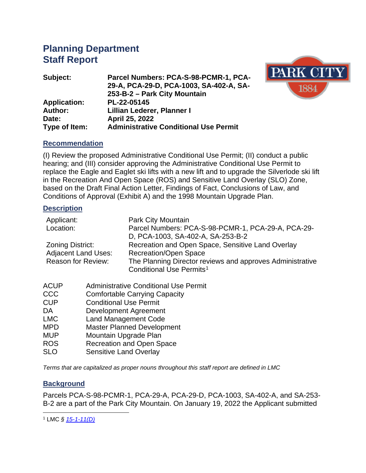# **Planning Department Staff Report**

| Parcel Numbers: PCA-S-98-PCMR-1, PCA-        |
|----------------------------------------------|
| 29-A, PCA-29-D, PCA-1003, SA-402-A, SA-      |
| 253-B-2 - Park City Mountain                 |
| PL-22-05145                                  |
| Lillian Lederer, Planner I                   |
| April 25, 2022                               |
| <b>Administrative Conditional Use Permit</b> |
|                                              |



### **Recommendation**

(I) Review the proposed Administrative Conditional Use Permit; (II) conduct a public hearing; and (III) consider approving the Administrative Conditional Use Permit to replace the Eagle and Eaglet ski lifts with a new lift and to upgrade the Silverlode ski lift in the Recreation And Open Space (ROS) and Sensitive Land Overlay (SLO) Zone, based on the Draft Final Action Letter, Findings of Fact, Conclusions of Law, and Conditions of Approval (Exhibit A) and the 1998 Mountain Upgrade Plan.

#### **Description**

| Park City Mountain                                                                                |
|---------------------------------------------------------------------------------------------------|
| Parcel Numbers: PCA-S-98-PCMR-1, PCA-29-A, PCA-29-                                                |
| D, PCA-1003, SA-402-A, SA-253-B-2                                                                 |
| Recreation and Open Space, Sensitive Land Overlay                                                 |
| <b>Recreation/Open Space</b>                                                                      |
| The Planning Director reviews and approves Administrative<br>Conditional Use Permits <sup>1</sup> |
|                                                                                                   |

- ACUP Administrative Conditional Use Permit
- CCC Comfortable Carrying Capacity<br>CUP Conditional Use Permit
- **Conditional Use Permit**
- DA Development Agreement
- LMC Land Management Code
- MPD Master Planned Development
- MUP Mountain Upgrade Plan
- ROS Recreation and Open Space
- SLO Sensitive Land Overlay

*Terms that are capitalized as proper nouns throughout this staff report are defined in LMC*

### **Background**

Parcels PCA-S-98-PCMR-1, PCA-29-A, PCA-29-D, PCA-1003, SA-402-A, and SA-253- B-2 are a part of the Park City Mountain. On January 19, 2022 the Applicant submitted

<span id="page-0-0"></span><sup>1</sup> LMC *§ [15-1-11\(D\)](https://parkcity.municipalcodeonline.com/book?type=ordinances#name=15-1-11_Special_Applications)*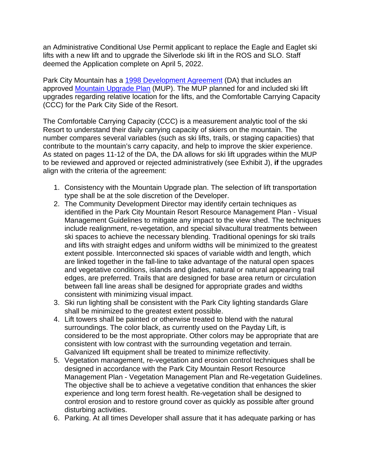an Administrative Conditional Use Permit applicant to replace the Eagle and Eaglet ski lifts with a new lift and to upgrade the Silverlode ski lift in the ROS and SLO. Staff deemed the Application complete on April 5, 2022.

Park City Mountain has a [1998 Development Agreement](https://www.parkcity.org/home/showpublisheddocument/68703/637394270132070000) (DA) that includes an approved [Mountain Upgrade Plan](https://www.parkcity.org/home/showpublisheddocument/69252/637394301102600000) (MUP). The MUP planned for and included ski lift upgrades regarding relative location for the lifts, and the Comfortable Carrying Capacity (CCC) for the Park City Side of the Resort.

The Comfortable Carrying Capacity (CCC) is a measurement analytic tool of the ski Resort to understand their daily carrying capacity of skiers on the mountain. The number compares several variables (such as ski lifts, trails, or staging capacities) that contribute to the mountain's carry capacity, and help to improve the skier experience. As stated on pages 11-12 of the DA, the DA allows for ski lift upgrades within the MUP to be reviewed and approved or rejected administratively (see Exhibit J), **if** the upgrades align with the criteria of the agreement:

- 1. Consistency with the Mountain Upgrade plan. The selection of lift transportation type shall be at the sole discretion of the Developer.
- 2. The Community Development Director may identify certain techniques as identified in the Park City Mountain Resort Resource Management Plan - Visual Management Guidelines to mitigate any impact to the view shed. The techniques include realignment, re-vegetation, and special silvacultural treatments between ski spaces to achieve the necessary blending. Traditional openings for ski trails and lifts with straight edges and uniform widths will be minimized to the greatest extent possible. Interconnected ski spaces of variable width and length, which are linked together in the fall-line to take advantage of the natural open spaces and vegetative conditions, islands and glades, natural or natural appearing trail edges, are preferred. Trails that are designed for base area return or circulation between fall line areas shall be designed for appropriate grades and widths consistent with minimizing visual impact.
- 3. Ski run lighting shall be consistent with the Park City lighting standards Glare shall be minimized to the greatest extent possible.
- 4. Lift towers shall be painted or otherwise treated to blend with the natural surroundings. The color black, as currently used on the Payday Lift, is considered to be the most appropriate. Other colors may be appropriate that are consistent with low contrast with the surrounding vegetation and terrain. Galvanized lift equipment shall be treated to minimize reflectivity.
- 5. Vegetation management, re-vegetation and erosion control techniques shall be designed in accordance with the Park City Mountain Resort Resource Management Plan - Vegetation Management Plan and Re-vegetation Guidelines. The objective shall be to achieve a vegetative condition that enhances the skier experience and long term forest health. Re-vegetation shall be designed to control erosion and to restore ground cover as quickly as possible after ground disturbing activities.
- 6. Parking. At all times Developer shall assure that it has adequate parking or has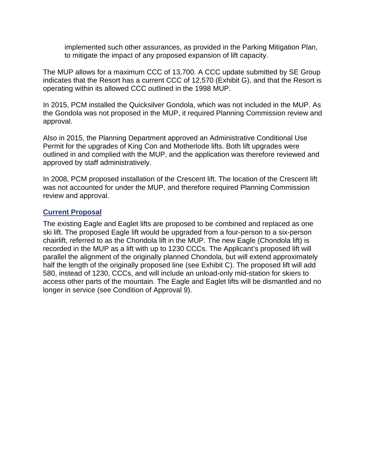implemented such other assurances, as provided in the Parking Mitigation Plan, to mitigate the impact of any proposed expansion of lift capacity.

The MUP allows for a maximum CCC of 13,700. A CCC update submitted by SE Group indicates that the Resort has a current CCC of 12,570 (Exhibit G), and that the Resort is operating within its allowed CCC outlined in the 1998 MUP.

In 2015, PCM installed the Quicksilver Gondola, which was not included in the MUP. As the Gondola was not proposed in the MUP, it required Planning Commission review and approval.

Also in 2015, the Planning Department approved an Administrative Conditional Use Permit for the upgrades of King Con and Motherlode lifts. Both lift upgrades were outlined in and complied with the MUP, and the application was therefore reviewed and approved by staff administratively.

In 2008, PCM proposed installation of the Crescent lift. The location of the Crescent lift was not accounted for under the MUP, and therefore required Planning Commission review and approval.

### **Current Proposal**

The existing Eagle and Eaglet lifts are proposed to be combined and replaced as one ski lift. The proposed Eagle lift would be upgraded from a four-person to a six-person chairlift, referred to as the Chondola lift in the MUP. The new Eagle (Chondola lift) is recorded in the MUP as a lift with up to 1230 CCCs. The Applicant's proposed lift will parallel the alignment of the originally planned Chondola, but will extend approximately half the length of the originally proposed line (see Exhibit C). The proposed lift will add 580, instead of 1230, CCCs, and will include an unload-only mid-station for skiers to access other parts of the mountain. The Eagle and Eaglet lifts will be dismantled and no longer in service (see Condition of Approval 9).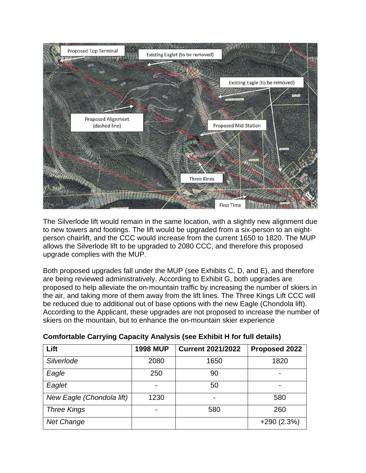

The Silverlode lift would remain in the same location, with a slightly new alignment due to new towers and footings. The lift would be upgraded from a six-person to an eightperson chairlift, and the CCC would increase from the current 1650 to 1820. The MUP allows the Silverlode lift to be upgraded to 2080 CCC, and therefore this proposed upgrade complies with the MUP.

Both proposed upgrades fall under the MUP (see Exhibits C, D, and E), and therefore are being reviewed administratively. According to Exhibit G, both upgrades are proposed to help alleviate the on-mountain traffic by increasing the number of skiers in the air, and taking more of them away from the lift lines. The Three Kings Lift CCC will be reduced due to additional out of base options with the new Eagle (Chondola lift). According to the Applicant, these upgrades are not proposed to increase the number of skiers on the mountain, but to enhance the on-mountain skier experience

| Lift                      | <b>1998 MUP</b> | <b>Current 2021/2022</b> | Proposed 2022 |
|---------------------------|-----------------|--------------------------|---------------|
| Silverlode                | 2080            | 1650                     | 1820          |
| Eagle                     | 250             | 90                       |               |
| Eaglet                    |                 | 50                       |               |
| New Eagle (Chondola lift) | 1230            | $\overline{\phantom{0}}$ | 580           |
| <b>Three Kings</b>        |                 | 580                      | 260           |
| <b>Net Change</b>         |                 |                          | $+290(2.3%)$  |

| <b>Comfortable Carrying Capacity Analysis (see Exhibit H for full details)</b> |
|--------------------------------------------------------------------------------|
|--------------------------------------------------------------------------------|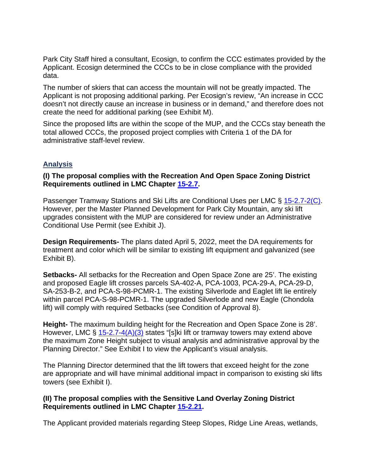Park City Staff hired a consultant, Ecosign, to confirm the CCC estimates provided by the Applicant. Ecosign determined the CCCs to be in close compliance with the provided data.

The number of skiers that can access the mountain will not be greatly impacted. The Applicant is not proposing additional parking. Per Ecosign's review, "An increase in CCC doesn't not directly cause an increase in business or in demand," and therefore does not create the need for additional parking (see Exhibit M).

Since the proposed lifts are within the scope of the MUP, and the CCCs stay beneath the total allowed CCCs, the proposed project complies with Criteria 1 of the DA for administrative staff-level review.

# **Analysis**

## **(I) The proposal complies with the Recreation And Open Space Zoning District Requirements outlined in LMC Chapter [15-2.7.](https://parkcity.municipalcodeonline.com/book?type=ordinances#name=15-2.7_Recreation_And_Open_Space_(ROS)_District)**

Passenger Tramway Stations and Ski Lifts are Conditional Uses per LMC § [15-2.7-2\(C\).](https://parkcity.municipalcodeonline.com/book?type=ordinances#name=15-2.7-2_Uses) However, per the Master Planned Development for Park City Mountain, any ski lift upgrades consistent with the MUP are considered for review under an Administrative Conditional Use Permit (see Exhibit J).

**Design Requirements-** The plans dated April 5, 2022, meet the DA requirements for treatment and color which will be similar to existing lift equipment and galvanized (see Exhibit B).

**Setbacks-** All setbacks for the Recreation and Open Space Zone are 25'. The existing and proposed Eagle lift crosses parcels SA-402-A, PCA-1003, PCA-29-A, PCA-29-D, SA-253-B-2, and PCA-S-98-PCMR-1. The existing Silverlode and Eaglet lift lie entirely within parcel PCA-S-98-PCMR-1. The upgraded Silverlode and new Eagle (Chondola lift) will comply with required Setbacks (see Condition of Approval 8).

**Height-** The maximum building height for the Recreation and Open Space Zone is 28'. However, LMC § [15-2.7-4\(A\)\(3\)](https://parkcity.municipalcodeonline.com/book?type=ordinances#name=15-2.7-4_Building_Height) states "[s]ki lift or tramway towers may extend above the maximum Zone Height subject to visual analysis and administrative approval by the Planning Director." See Exhibit I to view the Applicant's visual analysis.

The Planning Director determined that the lift towers that exceed height for the zone are appropriate and will have minimal additional impact in comparison to existing ski lifts towers (see Exhibit I).

## **(II) The proposal complies with the Sensitive Land Overlay Zoning District Requirements outlined in LMC Chapter [15-2.21.](https://parkcity.municipalcodeonline.com/book?type=ordinances#name=14-1-4_Duties_And_Responsibilities_Of_The_Forestry_Advisory_Board)**

The Applicant provided materials regarding Steep Slopes, Ridge Line Areas, wetlands,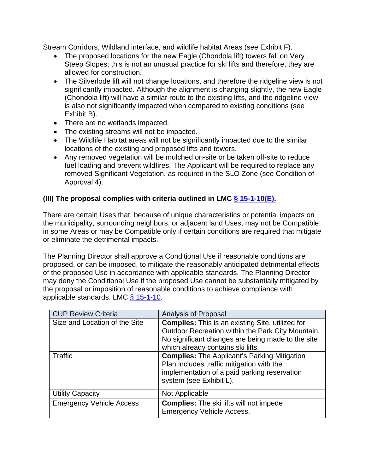Stream Corridors, Wildland interface, and wildlife habitat Areas (see Exhibit F).

- The proposed locations for the new Eagle (Chondola lift) towers fall on Very Steep Slopes; this is not an unusual practice for ski lifts and therefore, they are allowed for construction.
- The Silverlode lift will not change locations, and therefore the ridgeline view is not significantly impacted. Although the alignment is changing slightly, the new Eagle (Chondola lift) will have a similar route to the existing lifts, and the ridgeline view is also not significantly impacted when compared to existing conditions (see Exhibit B).
- There are no wetlands impacted.
- The existing streams will not be impacted.
- The Wildlife Habitat areas will not be significantly impacted due to the similar locations of the existing and proposed lifts and towers.
- Any removed vegetation will be mulched on-site or be taken off-site to reduce fuel loading and prevent wildfires. The Applicant will be required to replace any removed Significant Vegetation, as required in the SLO Zone (see Condition of Approval 4).

# **(III) The proposal complies with criteria outlined in LMC [§ 15-1-10](https://parkcity.municipalcodeonline.com/book?type=ordinances#name=15-1-11_Special_Applications)(E).**

There are certain Uses that, because of unique characteristics or potential impacts on the municipality, surrounding neighbors, or adjacent land Uses, may not be Compatible in some Areas or may be Compatible only if certain conditions are required that mitigate or eliminate the detrimental impacts.

The Planning Director shall approve a Conditional Use if reasonable conditions are proposed, or can be imposed, to mitigate the reasonably anticipated detrimental effects of the proposed Use in accordance with applicable standards. The Planning Director may deny the Conditional Use if the proposed Use cannot be substantially mitigated by the proposal or imposition of reasonable conditions to achieve compliance with applicable standards. LMC  $\S$  15-1-10.

| <b>CUP Review Criteria</b>      | Analysis of Proposal                                    |
|---------------------------------|---------------------------------------------------------|
| Size and Location of the Site   | <b>Complies:</b> This is an existing Site, utilized for |
|                                 | Outdoor Recreation within the Park City Mountain.       |
|                                 | No significant changes are being made to the site       |
|                                 | which already contains ski lifts.                       |
| Traffic                         | <b>Complies:</b> The Applicant's Parking Mitigation     |
|                                 | Plan includes traffic mitigation with the               |
|                                 | implementation of a paid parking reservation            |
|                                 | system (see Exhibit L).                                 |
| <b>Utility Capacity</b>         | Not Applicable                                          |
| <b>Emergency Vehicle Access</b> | <b>Complies:</b> The ski lifts will not impede          |
|                                 | <b>Emergency Vehicle Access.</b>                        |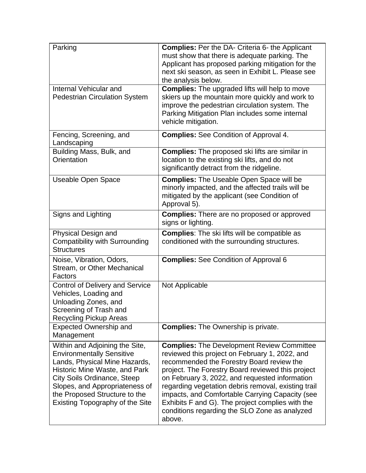| Parking                                                                                                                                                                                                                                                                          | <b>Complies:</b> Per the DA- Criteria 6- the Applicant<br>must show that there is adequate parking. The<br>Applicant has proposed parking mitigation for the<br>next ski season, as seen in Exhibit L. Please see<br>the analysis below.                                                                                                                                                                                                                                         |
|----------------------------------------------------------------------------------------------------------------------------------------------------------------------------------------------------------------------------------------------------------------------------------|----------------------------------------------------------------------------------------------------------------------------------------------------------------------------------------------------------------------------------------------------------------------------------------------------------------------------------------------------------------------------------------------------------------------------------------------------------------------------------|
| Internal Vehicular and<br><b>Pedestrian Circulation System</b>                                                                                                                                                                                                                   | <b>Complies:</b> The upgraded lifts will help to move<br>skiers up the mountain more quickly and work to<br>improve the pedestrian circulation system. The<br>Parking Mitigation Plan includes some internal<br>vehicle mitigation.                                                                                                                                                                                                                                              |
| Fencing, Screening, and<br>Landscaping                                                                                                                                                                                                                                           | <b>Complies:</b> See Condition of Approval 4.                                                                                                                                                                                                                                                                                                                                                                                                                                    |
| Building Mass, Bulk, and<br>Orientation                                                                                                                                                                                                                                          | <b>Complies:</b> The proposed ski lifts are similar in<br>location to the existing ski lifts, and do not<br>significantly detract from the ridgeline.                                                                                                                                                                                                                                                                                                                            |
| <b>Useable Open Space</b>                                                                                                                                                                                                                                                        | <b>Complies:</b> The Useable Open Space will be<br>minorly impacted, and the affected trails will be<br>mitigated by the applicant (see Condition of<br>Approval 5).                                                                                                                                                                                                                                                                                                             |
| Signs and Lighting                                                                                                                                                                                                                                                               | <b>Complies:</b> There are no proposed or approved<br>signs or lighting.                                                                                                                                                                                                                                                                                                                                                                                                         |
| Physical Design and<br><b>Compatibility with Surrounding</b><br><b>Structures</b>                                                                                                                                                                                                | <b>Complies:</b> The ski lifts will be compatible as<br>conditioned with the surrounding structures.                                                                                                                                                                                                                                                                                                                                                                             |
| Noise, Vibration, Odors,<br>Stream, or Other Mechanical<br>Factors                                                                                                                                                                                                               | <b>Complies:</b> See Condition of Approval 6                                                                                                                                                                                                                                                                                                                                                                                                                                     |
| <b>Control of Delivery and Service</b><br>Vehicles, Loading and<br>Unloading Zones, and<br>Screening of Trash and<br><b>Recycling Pickup Areas</b>                                                                                                                               | Not Applicable                                                                                                                                                                                                                                                                                                                                                                                                                                                                   |
| <b>Expected Ownership and</b><br>Management                                                                                                                                                                                                                                      | <b>Complies:</b> The Ownership is private.                                                                                                                                                                                                                                                                                                                                                                                                                                       |
| Within and Adjoining the Site,<br><b>Environmentally Sensitive</b><br>Lands, Physical Mine Hazards,<br>Historic Mine Waste, and Park<br><b>City Soils Ordinance, Steep</b><br>Slopes, and Appropriateness of<br>the Proposed Structure to the<br>Existing Topography of the Site | <b>Complies: The Development Review Committee</b><br>reviewed this project on February 1, 2022, and<br>recommended the Forestry Board review the<br>project. The Forestry Board reviewed this project<br>on February 3, 2022, and requested information<br>regarding vegetation debris removal, existing trail<br>impacts, and Comfortable Carrying Capacity (see<br>Exhibits F and G). The project complies with the<br>conditions regarding the SLO Zone as analyzed<br>above. |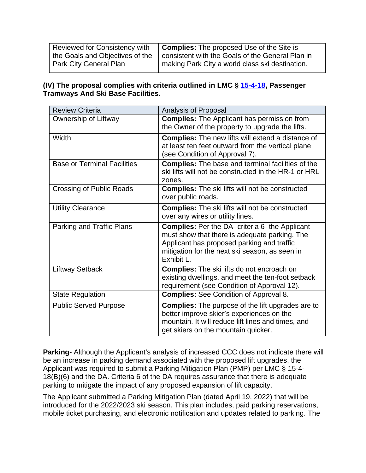| Reviewed for Consistency with   | <b>Complies:</b> The proposed Use of the Site is |
|---------------------------------|--------------------------------------------------|
| the Goals and Objectives of the | consistent with the Goals of the General Plan in |
| Park City General Plan          | making Park City a world class ski destination.  |

### **(IV) The proposal complies with criteria outlined in LMC § [15-4-18,](https://parkcity.municipalcodeonline.com/book?type=ordinances#name=15-4-18_Passenger_Tramways_And_Ski_Base_Facilities) Passenger Tramways And Ski Base Facilities.**

| <b>Review Criteria</b>             | Analysis of Proposal                                                                                                                                                                                                  |
|------------------------------------|-----------------------------------------------------------------------------------------------------------------------------------------------------------------------------------------------------------------------|
| Ownership of Liftway               | <b>Complies:</b> The Applicant has permission from                                                                                                                                                                    |
|                                    | the Owner of the property to upgrade the lifts.                                                                                                                                                                       |
| Width                              | <b>Complies:</b> The new lifts will extend a distance of<br>at least ten feet outward from the vertical plane<br>(see Condition of Approval 7).                                                                       |
| <b>Base or Terminal Facilities</b> | <b>Complies:</b> The base and terminal facilities of the<br>ski lifts will not be constructed in the HR-1 or HRL<br>zones.                                                                                            |
| <b>Crossing of Public Roads</b>    | <b>Complies:</b> The ski lifts will not be constructed<br>over public roads.                                                                                                                                          |
| <b>Utility Clearance</b>           | <b>Complies:</b> The ski lifts will not be constructed<br>over any wires or utility lines.                                                                                                                            |
| Parking and Traffic Plans          | <b>Complies:</b> Per the DA- criteria 6- the Applicant<br>must show that there is adequate parking. The<br>Applicant has proposed parking and traffic<br>mitigation for the next ski season, as seen in<br>Exhibit L. |
| <b>Liftway Setback</b>             | <b>Complies:</b> The ski lifts do not encroach on<br>existing dwellings, and meet the ten-foot setback<br>requirement (see Condition of Approval 12).                                                                 |
| <b>State Regulation</b>            | <b>Complies:</b> See Condition of Approval 8.                                                                                                                                                                         |
| <b>Public Served Purpose</b>       | <b>Complies:</b> The purpose of the lift upgrades are to<br>better improve skier's experiences on the<br>mountain. It will reduce lift lines and times, and<br>get skiers on the mountain quicker.                    |

**Parking-** Although the Applicant's analysis of increased CCC does not indicate there will be an increase in parking demand associated with the proposed lift upgrades, the Applicant was required to submit a Parking Mitigation Plan (PMP) per LMC § 15-4- 18(B)(6) and the DA. Criteria 6 of the DA requires assurance that there is adequate parking to mitigate the impact of any proposed expansion of lift capacity.

The Applicant submitted a Parking Mitigation Plan (dated April 19, 2022) that will be introduced for the 2022/2023 ski season. This plan includes, paid parking reservations, mobile ticket purchasing, and electronic notification and updates related to parking. The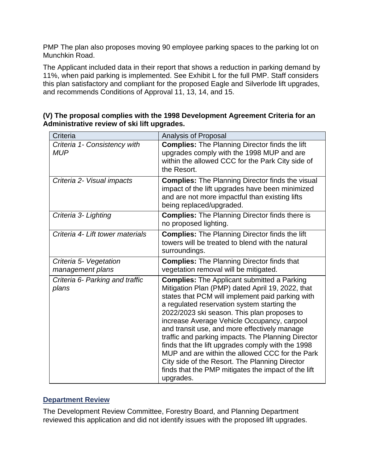PMP The plan also proposes moving 90 employee parking spaces to the parking lot on Munchkin Road.

The Applicant included data in their report that shows a reduction in parking demand by 11%, when paid parking is implemented. See Exhibit L for the full PMP. Staff considers this plan satisfactory and compliant for the proposed Eagle and Silverlode lift upgrades, and recommends Conditions of Approval 11, 13, 14, and 15.

| (V) The proposal complies with the 1998 Development Agreement Criteria for an |  |
|-------------------------------------------------------------------------------|--|
| Administrative review of ski lift upgrades.                                   |  |

| Criteria                                   | Analysis of Proposal                                                                                                                                                                                                                                                                                                                                                                                                                                                                                                                                                                                                                        |
|--------------------------------------------|---------------------------------------------------------------------------------------------------------------------------------------------------------------------------------------------------------------------------------------------------------------------------------------------------------------------------------------------------------------------------------------------------------------------------------------------------------------------------------------------------------------------------------------------------------------------------------------------------------------------------------------------|
| Criteria 1- Consistency with<br><b>MUP</b> | <b>Complies:</b> The Planning Director finds the lift<br>upgrades comply with the 1998 MUP and are<br>within the allowed CCC for the Park City side of<br>the Resort.                                                                                                                                                                                                                                                                                                                                                                                                                                                                       |
| Criteria 2- Visual impacts                 | <b>Complies:</b> The Planning Director finds the visual<br>impact of the lift upgrades have been minimized<br>and are not more impactful than existing lifts<br>being replaced/upgraded.                                                                                                                                                                                                                                                                                                                                                                                                                                                    |
| Criteria 3- Lighting                       | <b>Complies:</b> The Planning Director finds there is<br>no proposed lighting.                                                                                                                                                                                                                                                                                                                                                                                                                                                                                                                                                              |
| Criteria 4- Lift tower materials           | <b>Complies:</b> The Planning Director finds the lift<br>towers will be treated to blend with the natural<br>surroundings.                                                                                                                                                                                                                                                                                                                                                                                                                                                                                                                  |
| Criteria 5- Vegetation<br>management plans | <b>Complies:</b> The Planning Director finds that<br>vegetation removal will be mitigated.                                                                                                                                                                                                                                                                                                                                                                                                                                                                                                                                                  |
| Criteria 6- Parking and traffic<br>plans   | <b>Complies:</b> The Applicant submitted a Parking<br>Mitigation Plan (PMP) dated April 19, 2022, that<br>states that PCM will implement paid parking with<br>a regulated reservation system starting the<br>2022/2023 ski season. This plan proposes to<br>increase Average Vehicle Occupancy, carpool<br>and transit use, and more effectively manage<br>traffic and parking impacts. The Planning Director<br>finds that the lift upgrades comply with the 1998<br>MUP and are within the allowed CCC for the Park<br>City side of the Resort. The Planning Director<br>finds that the PMP mitigates the impact of the lift<br>upgrades. |

### **Department Review**

The Development Review Committee, Forestry Board, and Planning Department reviewed this application and did not identify issues with the proposed lift upgrades.